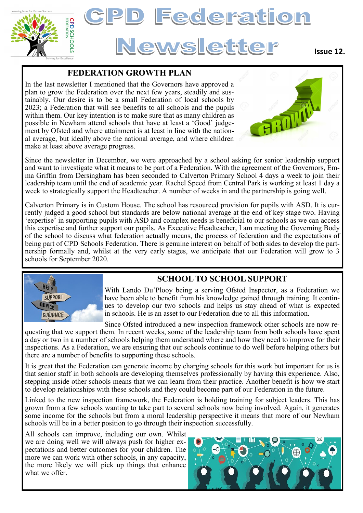

# Federation Newsletter

#### **Issue 12.**

#### **FEDERATION GROWTH PLAN**

In the last newsletter I mentioned that the Governors have approved a plan to grow the Federation over the next few years, steadily and sustainably. Our desire is to be a small Federation of local schools by 2023; a Federation that will see benefits to all schools and the pupils within them. Our key intention is to make sure that as many children as possible in Newham attend schools that have at least a 'Good' judgement by Ofsted and where attainment is at least in line with the national average, but ideally above the national average, and where children make at least above average progress.



Since the newsletter in December, we were approached by a school asking for senior leadership support and want to investigate what it means to be part of a Federation. With the agreement of the Governors, Emma Griffin from Dersingham has been seconded to Calverton Primary School 4 days a week to join their leadership team until the end of academic year. Rachel Speed from Central Park is working at least 1 day a week to strategically support the Headteacher. A number of weeks in and the partnership is going well.

Calverton Primary is in Custom House. The school has resourced provision for pupils with ASD. It is currently judged a good school but standards are below national average at the end of key stage two. Having 'expertise' in supporting pupils with ASD and complex needs is beneficial to our schools as we can access this expertise and further support our pupils. As Executive Headteacher, I am meeting the Governing Body of the school to discuss what federation actually means, the process of federation and the expectations of being part of CPD Schools Federation. There is genuine interest on behalf of both sides to develop the partnership formally and, whilst at the very early stages, we anticipate that our Federation will grow to 3 schools for September 2020.





With Lando Du'Plooy being a serving Ofsted Inspector, as a Federation we have been able to benefit from his knowledge gained through training. It continues to develop our two schools and helps us stay ahead of what is expected in schools. He is an asset to our Federation due to all this information.

Since Ofsted introduced a new inspection framework other schools are now re-

questing that we support them. In recent weeks, some of the leadership team from both schools have spent a day or two in a number of schools helping them understand where and how they need to improve for their inspections. As a Federation, we are ensuring that our schools continue to do well before helping others but there are a number of benefits to supporting these schools.

It is great that the Federation can generate income by charging schools for this work but important for us is that senior staff in both schools are developing themselves professionally by having this experience. Also, stepping inside other schools means that we can learn from their practice. Another benefit is how we start to develop relationships with these schools and they could become part of our Federation in the future.

Linked to the new inspection framework, the Federation is holding training for subject leaders. This has grown from a few schools wanting to take part to several schools now being involved. Again, it generates some income for the schools but from a moral leadership perspective it means that more of our Newham schools will be in a better position to go through their inspection successfully.

All schools can improve, including our own. Whilst we are doing well we will always push for higher expectations and better outcomes for your children. The more we can work with other schools, in any capacity, the more likely we will pick up things that enhance what we offer.